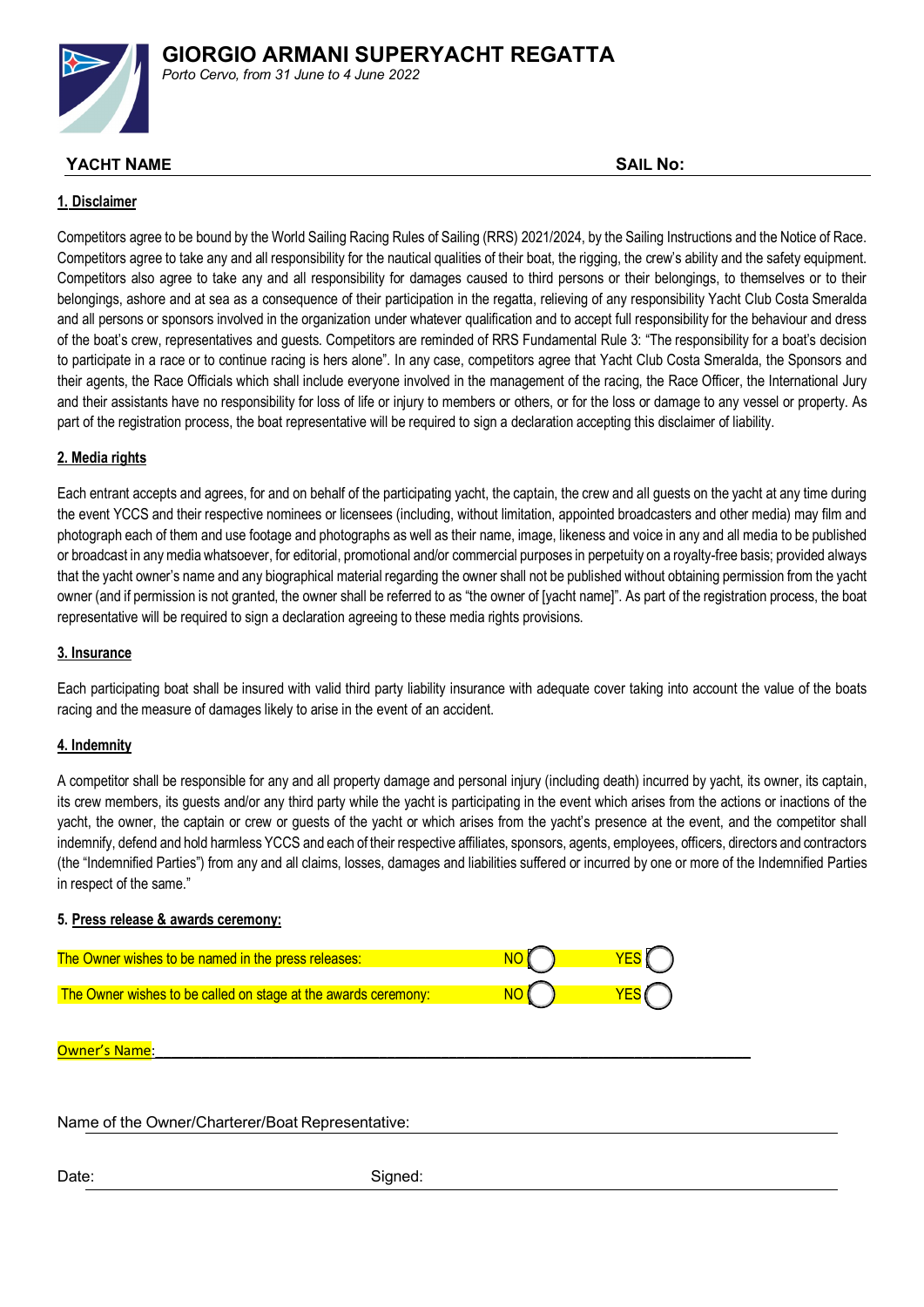

*Porto Cervo, from 31 June to 4 June 2022* 

## **YACHT NAME** SAIL **No: SAIL No: SAIL No: SAIL No: SAIL No: SAIL**

## **1. Disclaimer**

Competitors agree to be bound by the World Sailing Racing Rules of Sailing (RRS) 2021/2024, by the Sailing Instructions and the Notice of Race. Competitors agree to take any and all responsibility for the nautical qualities of their boat, the rigging, the crew's ability and the safety equipment. Competitors also agree to take any and all responsibility for damages caused to third persons or their belongings, to themselves or to their belongings, ashore and at sea as a consequence of their participation in the regatta, relieving of any responsibility Yacht Club Costa Smeralda and all persons or sponsors involved in the organization under whatever qualification and to accept full responsibility for the behaviour and dress of the boat's crew, representatives and guests. Competitors are reminded of RRS Fundamental Rule 3: "The responsibility for a boat's decision to participate in a race or to continue racing is hers alone". In any case, competitors agree that Yacht Club Costa Smeralda, the Sponsors and their agents, the Race Officials which shall include everyone involved in the management of the racing, the Race Officer, the International Jury and their assistants have no responsibility for loss of life or injury to members or others, or for the loss or damage to any vessel or property. As part of the registration process, the boat representative will be required to sign a declaration accepting this disclaimer of liability.

## **2. Media rights**

Each entrant accepts and agrees, for and on behalf of the participating yacht, the captain, the crew and all guests on the yacht at any time during the event YCCS and their respective nominees or licensees (including, without limitation, appointed broadcasters and other media) may film and photograph each of them and use footage and photographs as well as their name, image, likeness and voice in any and all media to be published or broadcast in any media whatsoever, for editorial, promotional and/or commercial purposes in perpetuity on a royalty-free basis; provided always that the yacht owner's name and any biographical material regarding the owner shall not be published without obtaining permission from the yacht owner (and if permission is not granted, the owner shall be referred to as "the owner of [yacht name]". As part of the registration process, the boat representative will be required to sign a declaration agreeing to these media rights provisions.

## **3. Insurance**

Each participating boat shall be insured with valid third party liability insurance with adequate cover taking into account the value of the boats racing and the measure of damages likely to arise in the event of an accident.

## **4. Indemnity**

A competitor shall be responsible for any and all property damage and personal injury (including death) incurred by yacht, its owner, its captain, its crew members, its guests and/or any third party while the yacht is participating in the event which arises from the actions or inactions of the yacht, the owner, the captain or crew or guests of the yacht or which arises from the yacht's presence at the event, and the competitor shall indemnify, defend and hold harmless YCCS and each of their respective affiliates, sponsors, agents, employees, officers, directors and contractors (the "Indemnified Parties") from any and all claims, losses, damages and liabilities suffered or incurred by one or more of the Indemnified Parties in respect of the same."

## **5. Press release & awards ceremony:**

| The Owner wishes to be named in the press releases:            |  |
|----------------------------------------------------------------|--|
| The Owner wishes to be called on stage at the awards ceremony: |  |
|                                                                |  |

### Owner's Name

## Name of the Owner/Charterer/Boat Representative:

Date: Signed: Signed: Signed: Signed: Signed: Signed: Signed: Signed: Signed: Signed: Signed: Signed: Signed: Signed: Signed: Signed: Signed: Signed: Signed: Signed: Signed: Signed: Signed: Signed: Signed: Signed: Signed: